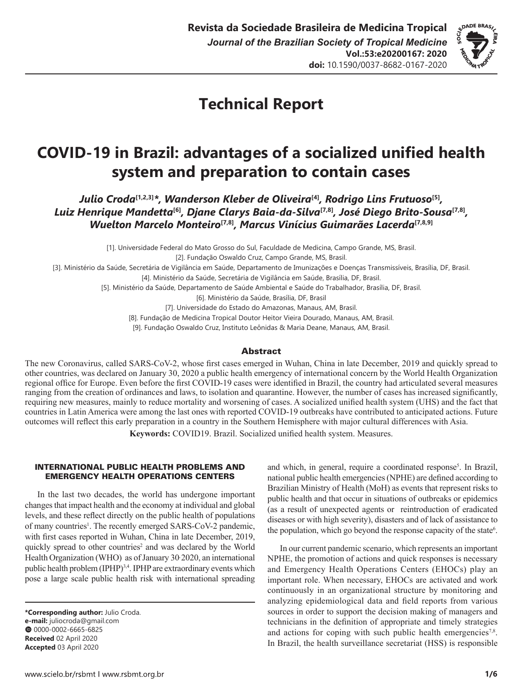

# **Technical Report**

# **COVID-19 in Brazil: advantages of a socialized unified health system and preparation to contain cases**

*Julio Croda***[1,2,3]***\*, Wanderson Kleber de Oliveira***[4]***, Rodrigo Lins Frutuoso***[5]***, Luiz Henrique Mandetta***[6]***, Djane Clarys Baia-da-Silva***[7,8]***, José Diego Brito-Sousa***[7,8]***, Wuelton Marcelo Monteiro***[7,8]***, Marcus Vinícius Guimarães Lacerda***[7,8,9]**

[1]. Universidade Federal do Mato Grosso do Sul, Faculdade de Medicina, Campo Grande, MS, Brasil.

[2]. Fundação Oswaldo Cruz, Campo Grande, MS, Brasil.

[3]. Ministério da Saúde, Secretária de Vigilância em Saúde, Departamento de Imunizações e Doenças Transmissíveis, Brasília, DF, Brasil.

[4]. Ministério da Saúde, Secretária de Vigilância em Saúde, Brasília, DF, Brasil.

[5]. Ministério da Saúde, Departamento de Saúde Ambiental e Saúde do Trabalhador, Brasília, DF, Brasil.

[6]. Ministério da Saúde, Brasília, DF, Brasil

[7]. Universidade do Estado do Amazonas, Manaus, AM, Brasil.

[8]. Fundação de Medicina Tropical Doutor Heitor Vieira Dourado, Manaus, AM, Brasil.

[9]. Fundação Oswaldo Cruz, Instituto Leônidas & Maria Deane, Manaus, AM, Brasil.

#### Abstract

The new Coronavirus, called SARS-CoV-2, whose first cases emerged in Wuhan, China in late December, 2019 and quickly spread to other countries, was declared on January 30, 2020 a public health emergency of international concern by the World Health Organization regional office for Europe. Even before the first COVID-19 cases were identified in Brazil, the country had articulated several measures ranging from the creation of ordinances and laws, to isolation and quarantine. However, the number of cases has increased significantly, requiring new measures, mainly to reduce mortality and worsening of cases. A socialized unified health system (UHS) and the fact that countries in Latin America were among the last ones with reported COVID-19 outbreaks have contributed to anticipated actions. Future outcomes will reflect this early preparation in a country in the Southern Hemisphere with major cultural differences with Asia.

**Keywords:** COVID19. Brazil. Socialized unified health system. Measures.

### INTERNATIONAL PUBLIC HEALTH PROBLEMS AND EMERGENCY HEALTH OPERATIONS CENTERS

In the last two decades, the world has undergone important changes that impact health and the economy at individual and global levels, and these reflect directly on the public health of populations of many countries<sup>1</sup>. The recently emerged SARS-CoV-2 pandemic, with first cases reported in Wuhan, China in late December, 2019, quickly spread to other countries<sup>2</sup> and was declared by the World Health Organization (WHO) as of January 30, 2020, an international public health problem (IPHP)<sup>3,4</sup>. IPHP are extraordinary events which pose a large scale public health risk with international spreading

**\*Corresponding author:** Julio Croda. **e-mail:** juliocroda@gmail.com 00000-0002-6665-6825 **Received** 02 April 2020 **Accepted** 03 April 2020

and which, in general, require a coordinated response<sup>5</sup>. In Brazil, national public health emergencies (NPHE) are defined according to Brazilian Ministry of Health (MoH) as events that represent risks to public health and that occur in situations of outbreaks or epidemics (as a result of unexpected agents or reintroduction of eradicated diseases or with high severity), disasters and of lack of assistance to the population, which go beyond the response capacity of the state<sup>6</sup>.

In our current pandemic scenario, which represents an important NPHE, the promotion of actions and quick responses is necessary and Emergency Health Operations Centers (EHOCs) play an important role. When necessary, EHOCs are activated and work continuously in an organizational structure by monitoring and analyzing epidemiological data and field reports from various sources in order to support the decision making of managers and technicians in the definition of appropriate and timely strategies and actions for coping with such public health emergencies<sup>7,8</sup>. In Brazil, the health surveillance secretariat (HSS) is responsible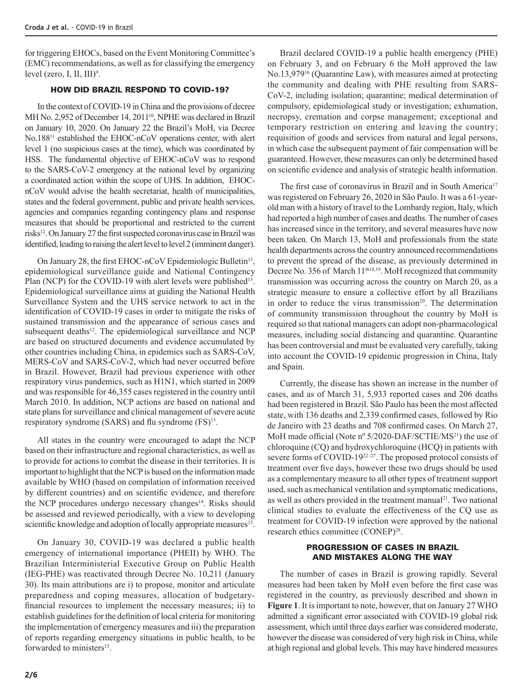for triggering EHOCs, based on the Event Monitoring Committee's (EMC) recommendations, as well as for classifying the emergency level (zero, I, II, III)<sup>9</sup>.

### HOW DID BRAZIL RESPOND TO COVID-19?

In the context of COVID-19 in China and the provisions of decree MH No. 2,952 of December 14, 2011<sup>10</sup>, NPHE was declared in Brazil on January 10, 2020. On January 22 the Brazil's MoH, via Decree No.18811 established the EHOC-nCoV operations center, with alert level 1 (no suspicious cases at the time), which was coordinated by HSS. The fundamental objective of EHOC-nCoV was to respond to the SARS-CoV-2 emergency at the national level by organizing a coordinated action within the scope of UHS. In addition, EHOCnCoV would advise the health secretariat, health of municipalities, states and the federal government, public and private health services, agencies and companies regarding contingency plans and response measures that should be proportional and restricted to the current risks12. On January 27 the first suspected coronavirus case in Brazil was identified, leading to raising the alert level to level 2 (imminent danger).

On January 28, the first EHOC-nCoV Epidemiologic Bulletin<sup>13</sup>, epidemiological surveillance guide and National Contingency Plan (NCP) for the COVID-19 with alert levels were published<sup>13</sup>. Epidemiological surveillance aims at guiding the National Health Surveillance System and the UHS service network to act in the identification of COVID-19 cases in order to mitigate the risks of sustained transmission and the appearance of serious cases and subsequent deaths<sup>12</sup>. The epidemiological surveillance and NCP are based on structured documents and evidence accumulated by other countries including China, in epidemics such as SARS-CoV, MERS-CoV and SARS-CoV-2, which had never occurred before in Brazil. However, Brazil had previous experience with other respiratory virus pandemics, such as H1N1, which started in 2009 and was responsible for 46,355 cases registered in the country until March 2010. In addition, NCP actions are based on national and state plans for surveillance and clinical management of severe acute respiratory syndrome (SARS) and flu syndrome (FS)<sup>13</sup>.

All states in the country were encouraged to adapt the NCP based on their infrastructure and regional characteristics, as well as to provide for actions to combat the disease in their territories. It is important to highlight that the NCP is based on the information made available by WHO (based on compilation of information received by different countries) and on scientific evidence, and therefore the NCP procedures undergo necessary changes<sup>14</sup>. Risks should be assessed and reviewed periodically, with a view to developing scientific knowledge and adoption of locally appropriate measures<sup>13</sup>.

On January 30, COVID-19 was declared a public health emergency of international importance (PHEII) by WHO. The Brazilian Interministerial Executive Group on Public Health (IEG-PHE) was reactivated through Decree No. 10,211 (January 30). Its main attributions are i) to propose, monitor and articulate preparedness and coping measures, allocation of budgetaryfinancial resources to implement the necessary measures; ii) to establish guidelines for the definition of local criteria for monitoring the implementation of emergency measures and iii) the preparation of reports regarding emergency situations in public health, to be forwarded to ministers<sup>15</sup>.

Brazil declared COVID-19 a public health emergency (PHE) on February 3, and on February 6 the MoH approved the law No.13,97916 (Quarantine Law), with measures aimed at protecting the community and dealing with PHE resulting from SARS-CoV-2, including isolation; quarantine; medical determination of compulsory, epidemiological study or investigation; exhumation, necropsy, cremation and corpse management; exceptional and temporary restriction on entering and leaving the country; requisition of goods and services from natural and legal persons, in which case the subsequent payment of fair compensation will be guaranteed. However, these measures can only be determined based on scientific evidence and analysis of strategic health information.

The first case of coronavirus in Brazil and in South America<sup>17</sup> was registered on February 26, 2020 in São Paulo. It was a 61-yearold man with a history of travel to the Lombardy region, Italy, which had reported a high number of cases and deaths. The number of cases has increased since in the territory, and several measures have now been taken. On March 13, MoH and professionals from the state health departments across the country announced recommendations to prevent the spread of the disease, as previously determined in Decree No. 356 of March 11<sup>th18,19</sup>. MoH recognized that community transmission was occurring across the country on March 20, as a strategic measure to ensure a collective effort by all Brazilians in order to reduce the virus transmission<sup>20</sup>. The determination of community transmission throughout the country by MoH is required so that national managers can adopt non-pharmacological measures, including social distancing and quarantine. Quarantine has been controversial and must be evaluated very carefully, taking into account the COVID-19 epidemic progression in China, Italy and Spain.

Currently, the disease has shown an increase in the number of cases, and as of March 31, 5,933 reported cases and 206 deaths had been registered in Brazil. São Paulo has been the most affected state, with 136 deaths and 2,339 confirmed cases, followed by Rio de Janeiro with 23 deaths and 708 confirmed cases. On March 27, MoH made official (Note nº 5/2020-DAF/SCTIE/MS<sup>21</sup>) the use of chloroquine (CQ) and hydroxychloroquine (HCQ) in patients with severe forms of COVID-19<sup>22–27</sup>. The proposed protocol consists of treatment over five days, however these two drugs should be used as a complementary measure to all other types of treatment support used, such as mechanical ventilation and symptomatic medications, as well as others provided in the treatment manual<sup>21</sup>. Two national clinical studies to evaluate the effectiveness of the CQ use as treatment for COVID-19 infection were approved by the national research ethics committee (CONEP)<sup>28</sup>.

#### PROGRESSION OF CASES IN BRAZIL AND MISTAKES ALONG THE WAY

The number of cases in Brazil is growing rapidly. Several measures had been taken by MoH even before the first case was registered in the country, as previously described and shown in **Figure 1**. It is important to note, however, that on January 27 WHO admitted a significant error associated with COVID-19 global risk assessment, which until three days earlier was considered moderate, however the disease was considered of very high risk in China, while at high regional and global levels. This may have hindered measures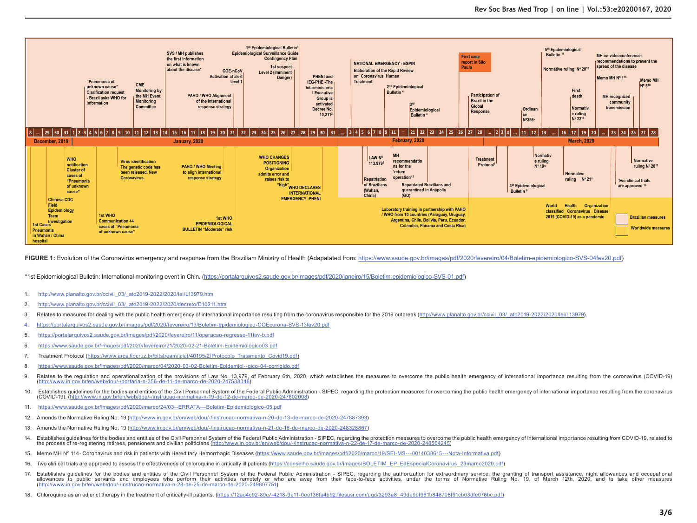

FIGURE 1: Evolution of the Coronavirus emergency and response from the Braziliam Ministry of Health (Adapatated from: https://www.saude.gov.br/images/pdf/2020/fevereiro/04/Boletim-epidemiologico-SVS-04fev20.pdf)

\*1st Epidemiological Bulletin: International monitoring event in Chin. (https://portalarquivos2.saude.gov.br/images/pdf/2020/janeiro/15/Boletim-epidemiologico-SVS-01.pdf)

- 1. http://www.planalto.gov.br/ccivil\_03/\_ato2019-2022/2020/lei/L13979.htm
- 2. http://www.planalto.gov.br/ccivil\_03/\_ato2019-2022/2020/decreto/D10211.htm
- 3. Relates to measures for dealing with the public health emergency of international importance resulting from the coronavirus responsible for the 2019 outbreak (http://www.planalto.gov.br/ccivil 03/ ato2019-2022/2020/lei/
- 4. https://portalarquivos2.saude.gov.br/images/pdf/2020/fevereiro/13/Boletim-epidemiologico-COEcorona-SVS-13fev20.pdf
- 5. https://portalarquivos2.saude.gov.br/images/pdf/2020/fevereiro/11/operacao-regresso-11fev-b.pdf
- 6. https://www.saude.gov.br/images/pdf/2020/fevereiro/21/2020-02-21-Boletim-Epidemiologico03.pdf
- 7. Treatment Protocol (https://www.arca.fiocruz.br/bitstream/icict/40195/2/Protocolo\_Tratamento\_Covid19.pdf)
- 8. https://www.saude.gov.br/images/pdf/2020/marco/04/2020-03-02-Boletim-Epidemiol--gico-04-corrigido.pdf
- 9. Relates to the regulation and operationalization of the provisions of Law No. 13.979, of February 6th, 2020, which establishes the measures to overcome the public health emergency of international importance resulting f (http://www.in.gov.br/en/web/dou/-/portaria-n-356-de-11-de-marco-de-2020-247538346)
- 10. Establishes quidelines for the bodies and entities of the Civil Personnel System of the Federal Public Administration SIPEC, regarding the protection measures for overcoming the public health emergency of internation (COVID-19). (http://www.in.gov.br/en/web/dou/-/instrucao-normativa-n-19-de-12-de-marco-de-2020-247802008)
- 11. https://www.saude.gov.br/images/pdf/2020/marco/24/03--ERRATA---Boletim-Epidemiologico-05.pdf
- 12. Amends the Normative Ruling No. 19 (http://www.in.gov.br/en/web/dou/-/instrucao-normativa-n-20-de-13-de-marco-de-2020-247887393)
- 13. Amends the Normative Ruling No. 19 (http://www.in.gov.br/en/web/dou/-/instrucao-normativa-n-21-de-16-de-marco-de-2020-248328867)
- 14. Establishes quidelines for the bodies and entities of the Civil Personnel System of the Federal Public Administration SIPEC, regarding the protection measures to overcome the public health emergency of international the process of re-registering retirees, pensioners and civilian politicians (http://www.in.gov.br/en/web/dou/-/instrucao-normativa-n-22-de-17-de-marco-de-2020-248564245)
- 15. Memo MH Nº 114- Coronavirus and risk in patients with Hereditary Hemorrhagic Diseases (https://www.saude.gov.br/images/pdf/2020/marco/19/SEI-MS---0014038615---Nota-Informativa.pdf)
- 16. Two clinical trials are approved to assess the effectiveness of chloroquine in critically ill patients (https://conselho.saude.gov.br/images/BOLETIM\_EP\_EdEspecialCoronavirus\_23marco2020.pdf)
- 17. Establishes quidelines for the bodies and entities of the Civil Personnel System of the Federal Public Administration SIPEC, regarding the authorization for extraordinary service, the granting of transport assistance allowances to public servants and employees who perform their activities remotely or who are away from their face-to-face activities, under the terms of Normative Ruling No. 19, of March 12th, 2020, and to take other measu (http://www.in.gov.br/en/web/dou/-/instrucao-normativa-n-28-de-25-de-marco-de-2020-249807751)
- 18. Chloroquine as an adjunct therapy in the treatment of critically-ill patients. (https://12ad4c92-89c7-4218-9e11-0ee136fa4b92.filesusr.com/ugd/3293a8\_49de9bf961b846708f91cb03dfe076bc.pdf)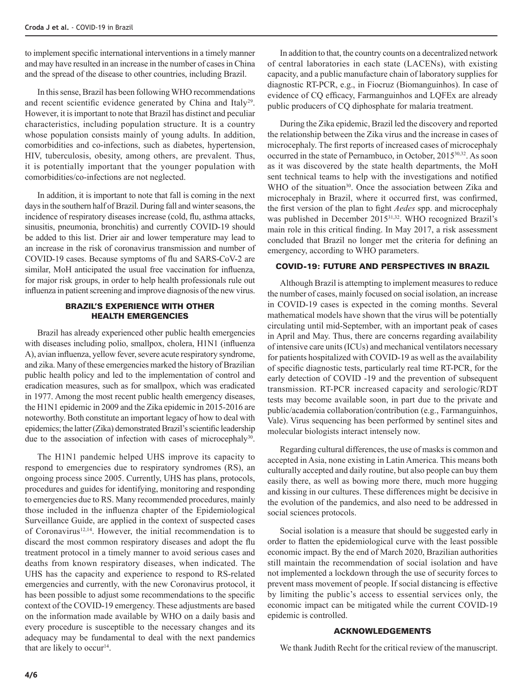to implement specific international interventions in a timely manner and may have resulted in an increase in the number of cases in China and the spread of the disease to other countries, including Brazil.

In this sense, Brazil has been following WHO recommendations and recent scientific evidence generated by China and Italy<sup>29</sup>. However, it is important to note that Brazil has distinct and peculiar characteristics, including population structure. It is a country whose population consists mainly of young adults. In addition, comorbidities and co-infections, such as diabetes, hypertension, HIV, tuberculosis, obesity, among others, are prevalent. Thus, it is potentially important that the younger population with comorbidities/co-infections are not neglected.

In addition, it is important to note that fall is coming in the next days in the southern half of Brazil. During fall and winter seasons, the incidence of respiratory diseases increase (cold, flu, asthma attacks, sinusitis, pneumonia, bronchitis) and currently COVID-19 should be added to this list. Drier air and lower temperature may lead to an increase in the risk of coronavirus transmission and number of COVID-19 cases. Because symptoms of flu and SARS-CoV-2 are similar, MoH anticipated the usual free vaccination for influenza, for major risk groups, in order to help health professionals rule out influenza in patient screening and improve diagnosis of the new virus.

### BRAZIL'S EXPERIENCE WITH OTHER HEALTH EMERGENCIES

Brazil has already experienced other public health emergencies with diseases including polio, smallpox, cholera, H1N1 (influenza A), avian influenza, yellow fever, severe acute respiratory syndrome, and zika. Many of these emergencies marked the history of Brazilian public health policy and led to the implementation of control and eradication measures, such as for smallpox, which was eradicated in 1977. Among the most recent public health emergency diseases, the H1N1 epidemic in 2009 and the Zika epidemic in 2015-2016 are noteworthy. Both constitute an important legacy of how to deal with epidemics; the latter (Zika) demonstrated Brazil's scientific leadership due to the association of infection with cases of microcephaly<sup>30</sup>.

The H1N1 pandemic helped UHS improve its capacity to respond to emergencies due to respiratory syndromes (RS), an ongoing process since 2005. Currently, UHS has plans, protocols, procedures and guides for identifying, monitoring and responding to emergencies due to RS. Many recommended procedures, mainly those included in the influenza chapter of the Epidemiological Surveillance Guide, are applied in the context of suspected cases of Coronavirus<sup>12,14</sup>. However, the initial recommendation is to discard the most common respiratory diseases and adopt the flu treatment protocol in a timely manner to avoid serious cases and deaths from known respiratory diseases, when indicated. The UHS has the capacity and experience to respond to RS-related emergencies and currently, with the new Coronavirus protocol, it has been possible to adjust some recommendations to the specific context of the COVID-19 emergency. These adjustments are based on the information made available by WHO on a daily basis and every procedure is susceptible to the necessary changes and its adequacy may be fundamental to deal with the next pandemics that are likely to occur<sup>14</sup>.

In addition to that, the country counts on a decentralized network of central laboratories in each state (LACENs), with existing capacity, and a public manufacture chain of laboratory supplies for diagnostic RT-PCR, e.g., in Fiocruz (Biomanguinhos). In case of evidence of CQ efficacy, Farmanguinhos and LQFEx are already public producers of CQ diphosphate for malaria treatment.

During the Zika epidemic, Brazil led the discovery and reported the relationship between the Zika virus and the increase in cases of microcephaly. The first reports of increased cases of microcephaly occurred in the state of Pernambuco, in October, 201530,32. As soon as it was discovered by the state health departments, the MoH sent technical teams to help with the investigations and notified WHO of the situation<sup>30</sup>. Once the association between Zika and microcephaly in Brazil, where it occurred first, was confirmed, the first version of the plan to fight *Aedes* spp. and microcephaly was published in December 2015<sup>31,32</sup>. WHO recognized Brazil's main role in this critical finding. In May 2017, a risk assessment concluded that Brazil no longer met the criteria for defining an emergency, according to WHO parameters.

## COVID-19: FUTURE AND PERSPECTIVES IN BRAZIL

Although Brazil is attempting to implement measures to reduce the number of cases, mainly focused on social isolation, an increase in COVID-19 cases is expected in the coming months. Several mathematical models have shown that the virus will be potentially circulating until mid-September, with an important peak of cases in April and May. Thus, there are concerns regarding availability of intensive care units (ICUs) and mechanical ventilators necessary for patients hospitalized with COVID-19 as well as the availability of specific diagnostic tests, particularly real time RT-PCR, for the early detection of COVID -19 and the prevention of subsequent transmission. RT-PCR increased capacity and serologic/RDT tests may become available soon, in part due to the private and public/academia collaboration/contribution (e.g., Farmanguinhos, Vale). Virus sequencing has been performed by sentinel sites and molecular biologists interact intensely now.

Regarding cultural differences, the use of masks is common and accepted in Asia, none existing in Latin America. This means both culturally accepted and daily routine, but also people can buy them easily there, as well as bowing more there, much more hugging and kissing in our cultures. These differences might be decisive in the evolution of the pandemics, and also need to be addressed in social sciences protocols.

Social isolation is a measure that should be suggested early in order to flatten the epidemiological curve with the least possible economic impact. By the end of March 2020, Brazilian authorities still maintain the recommendation of social isolation and have not implemented a lockdown through the use of security forces to prevent mass movement of people. If social distancing is effective by limiting the public's access to essential services only, the economic impact can be mitigated while the current COVID-19 epidemic is controlled.

### ACKNOWLEDGEMENTS

We thank Judith Recht for the critical review of the manuscript.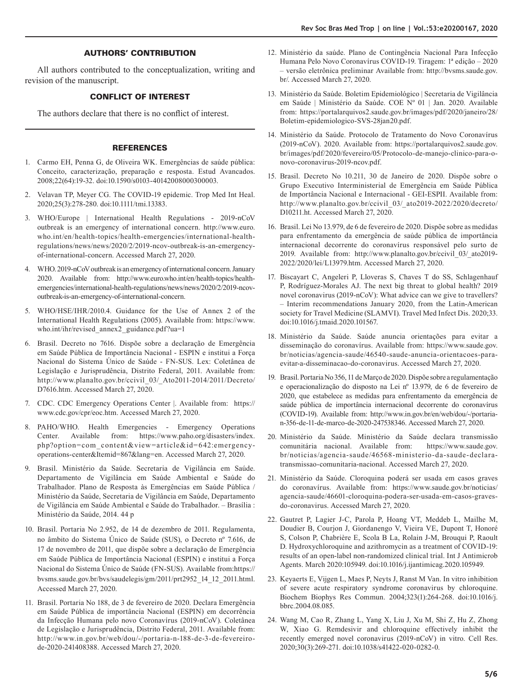#### AUTHORS' CONTRIBUTION

All authors contributed to the conceptualization, writing and revision of the manuscript.

### CONFLICT OF INTEREST

The authors declare that there is no conflict of interest.

#### REFERENCES

- 1. Carmo EH, Penna G, de Oliveira WK. Emergências de saúde pública: Conceito, caracterização, preparação e resposta. Estud Avancados. 2008;22(64):19-32. doi:10.1590/s0103-40142008000300003.
- 2. Velavan TP, Meyer CG. The COVID-19 epidemic. Trop Med Int Heal. 2020;25(3):278-280. doi:10.1111/tmi.13383.
- 3. WHO/Europe | International Health Regulations 2019-nCoV outbreak is an emergency of international concern. http://www.euro. who.int/en/health-topics/health-emergencies/international-healthregulations/news/news/2020/2/2019-ncov-outbreak-is-an-emergencyof-international-concern. Accessed March 27, 2020.
- 4. WHO. 2019-nCoV outbreak is an emergency of international concern. January 2020. Available from: http://www.euro.who.int/en/health-topics/healthemergencies/international-health-regulations/news/news/2020/2/2019-ncovoutbreak-is-an-emergency-of-international-concern.
- 5. WHO/HSE/IHR/2010.4. Guidance for the Use of Annex 2 of the International Health Regulations (2005). Available from: https://www. who.int/ihr/revised\_annex2\_guidance.pdf?ua=1
- 6. Brasil. Decreto no 7616. Dispõe sobre a declaração de Emergência em Saúde Pública de Importância Nacional - ESPIN e institui a Força Nacional do Sistema Único de Saúde - FN-SUS. Lex: Coletânea de Legislação e Jurisprudência, Distrito Federal, 2011. Available from: http://www.planalto.gov.br/ccivil\_03/\_Ato2011-2014/2011/Decreto/ D7616.htm. Accessed March 27, 2020.
- 7. CDC. CDC Emergency Operations Center |. Available from: https:// www.cdc.gov/cpr/eoc.htm. Accessed March 27, 2020.
- 8. PAHO/WHO. Health Emergencies Emergency Operations Center. Available from: https://www.paho.org/disasters/index. php?option=com\_content&view=article&id=642:emergencyoperations-center&Itemid=867&lang=en. Accessed March 27, 2020.
- 9. Brasil. Ministério da Saúde. Secretaria de Vigilância em Saúde. Departamento de Vigilância em Saúde Ambiental e Saúde do Trabalhador. Plano de Resposta às Emergências em Saúde Pública / Ministério da Saúde, Secretaria de Vigilância em Saúde, Departamento de Vigilância em Saúde Ambiental e Saúde do Trabalhador. – Brasília : Ministério da Saúde, 2014. 44 p
- 10. Brasil. Portaria No 2.952, de 14 de dezembro de 2011. Regulamenta, no âmbito do Sistema Único de Saúde (SUS), o Decreto nº 7.616, de 17 de novembro de 2011, que dispõe sobre a declaração de Emergência em Saúde Pública de Importância Nacional (ESPIN) e institui a Força Nacional do Sistema Único de Saúde (FN-SUS). Available from:https:// bvsms.saude.gov.br/bvs/saudelegis/gm/2011/prt2952\_14\_12\_2011.html. Accessed March 27, 2020.
- 11. Brasil. Portaria No 188, de 3 de fevereiro de 2020. Declara Emergência em Saúde Pública de importância Nacional (ESPIN) em decorrência da Infecção Humana pelo novo Coronavírus (2019-nCoV). Coletânea de Legislação e Jurisprudência, Distrito Federal, 2011. Available from: http://www.in.gov.br/web/dou/-/portaria-n-188-de-3-de-fevereirode-2020-241408388. Accessed March 27, 2020.
- 12. Ministério da saúde. Plano de Contingência Nacional Para Infecção Humana Pelo Novo Coronavírus COVID-19. Tiragem: 1ª edição – 2020 – versão eletrônica preliminar Available from: http://bvsms.saude.gov. br/. Accessed March 27, 2020.
- 13. Ministério da Saúde. Boletim Epidemiológico | Secretaria de Vigilância em Saúde | Ministério da Saúde. COE Nº 01 | Jan. 2020. Available from: https://portalarquivos2.saude.gov.br/images/pdf/2020/janeiro/28/ Boletim-epidemiologico-SVS-28jan20.pdf.
- 14. Ministério da Saúde. Protocolo de Tratamento do Novo Coronavírus (2019-nCoV). 2020. Available from: https://portalarquivos2.saude.gov. br/images/pdf/2020/fevereiro/05/Protocolo-de-manejo-clinico-para-onovo-coronavirus-2019-ncov.pdf.
- 15. Brasil. Decreto No 10.211, 30 de Janeiro de 2020. Dispõe sobre o Grupo Executivo Interministerial de Emergência em Saúde Pública de Importância Nacional e Internacional - GEI-ESPII. Available from: http://www.planalto.gov.br/ccivil\_03/\_ato2019-2022/2020/decreto/ D10211.ht. Accessed March 27, 2020.
- 16. Brasil. Lei No 13.979, de 6 de fevereiro de 2020. Dispõe sobre as medidas para enfrentamento da emergência de saúde pública de importância internacional decorrente do coronavírus responsável pelo surto de 2019. Available from: http://www.planalto.gov.br/ccivil\_03/\_ato2019- 2022/2020/lei/L13979.htm. Accessed March 27, 2020.
- 17. Biscayart C, Angeleri P, Lloveras S, Chaves T do SS, Schlagenhauf P, Rodríguez-Morales AJ. The next big threat to global health? 2019 novel coronavirus (2019-nCoV): What advice can we give to travellers? – Interim recommendations January 2020, from the Latin-American society for Travel Medicine (SLAMVI). Travel Med Infect Dis. 2020;33. doi:10.1016/j.tmaid.2020.101567.
- 18. Ministério da Saúde. Saúde anuncia orientações para evitar a disseminação do coronavírus. Available from: https://www.saude.gov. br/noticias/agencia-saude/46540-saude-anuncia-orientacoes-paraevitar-a-disseminacao-do-coronavirus. Accessed March 27, 2020.
- 19. Brasil. Portaria No 356, 11 de Março de 2020. Dispõe sobre a regulamentação e operacionalização do disposto na Lei nº 13.979, de 6 de fevereiro de 2020, que estabelece as medidas para enfrentamento da emergência de saúde pública de importância internacional decorrente do coronavírus (COVID-19). Available from: http://www.in.gov.br/en/web/dou/-/portarian-356-de-11-de-marco-de-2020-247538346. Accessed March 27, 2020.
- 20. Ministério da Saúde. Ministério da Saúde declara transmissão comunitária nacional. Available from: https://www.saude.gov. br/noticias/agencia-saude/46568-ministerio-da-saude-declaratransmissao-comunitaria-nacional. Accessed March 27, 2020.
- 21. Ministério da Saúde. Cloroquina poderá ser usada em casos graves do coronavírus. Available from: https://www.saude.gov.br/noticias/ agencia-saude/46601-cloroquina-podera-ser-usada-em-casos-gravesdo-coronavirus. Accessed March 27, 2020.
- 22. Gautret P, Lagier J-C, Parola P, Hoang VT, Meddeb L, Mailhe M, Doudier B, Courjon J, Giordanengo V, Vieira VE, Dupont T, Honoré S, Colson P, Chabrière E, Scola B La, Rolain J-M, Brouqui P, Raoult D. Hydroxychloroquine and azithromycin as a treatment of COVID-19: results of an open-label non-randomized clinical trial. Int J Antimicrob Agents. March 2020:105949. doi:10.1016/j.ijantimicag.2020.105949.
- 23. Keyaerts E, Vijgen L, Maes P, Neyts J, Ranst M Van. In vitro inhibition of severe acute respiratory syndrome coronavirus by chloroquine. Biochem Biophys Res Commun. 2004;323(1):264-268. doi:10.1016/j. bbrc.2004.08.085.
- 24. Wang M, Cao R, Zhang L, Yang X, Liu J, Xu M, Shi Z, Hu Z, Zhong W, Xiao G. Remdesivir and chloroquine effectively inhibit the recently emerged novel coronavirus (2019-nCoV) in vitro. Cell Res. 2020;30(3):269-271. doi:10.1038/s41422-020-0282-0.